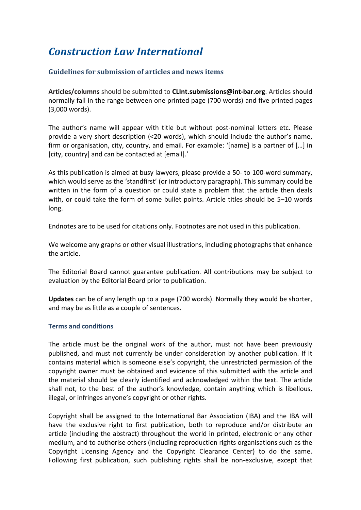## *Construction Law International*

## **Guidelines for submission of articles and news items**

**Articles/columns** should be submitted to **CLInt.submissions@int-bar.org**. Articles should normally fall in the range between one printed page (700 words) and five printed pages (3,000 words).

The author's name will appear with title but without post-nominal letters etc. Please provide a very short description (<20 words), which should include the author's name, firm or organisation, city, country, and email. For example: '[name] is a partner of […] in [city, country] and can be contacted at [email].'

As this publication is aimed at busy lawyers, please provide a 50- to 100-word summary, which would serve as the 'standfirst' (or introductory paragraph). This summary could be written in the form of a question or could state a problem that the article then deals with, or could take the form of some bullet points. Article titles should be 5–10 words long.

Endnotes are to be used for citations only. Footnotes are not used in this publication.

We welcome any graphs or other visual illustrations, including photographs that enhance the article.

The Editorial Board cannot guarantee publication. All contributions may be subject to evaluation by the Editorial Board prior to publication.

**Updates** can be of any length up to a page (700 words). Normally they would be shorter, and may be as little as a couple of sentences.

## **Terms and conditions**

The article must be the original work of the author, must not have been previously published, and must not currently be under consideration by another publication. If it contains material which is someone else's copyright, the unrestricted permission of the copyright owner must be obtained and evidence of this submitted with the article and the material should be clearly identified and acknowledged within the text. The article shall not, to the best of the author's knowledge, contain anything which is libellous, illegal, or infringes anyone's copyright or other rights.

Copyright shall be assigned to the International Bar Association (IBA) and the IBA will have the exclusive right to first publication, both to reproduce and/or distribute an article (including the abstract) throughout the world in printed, electronic or any other medium, and to authorise others (including reproduction rights organisations such as the Copyright Licensing Agency and the Copyright Clearance Center) to do the same. Following first publication, such publishing rights shall be non-exclusive, except that